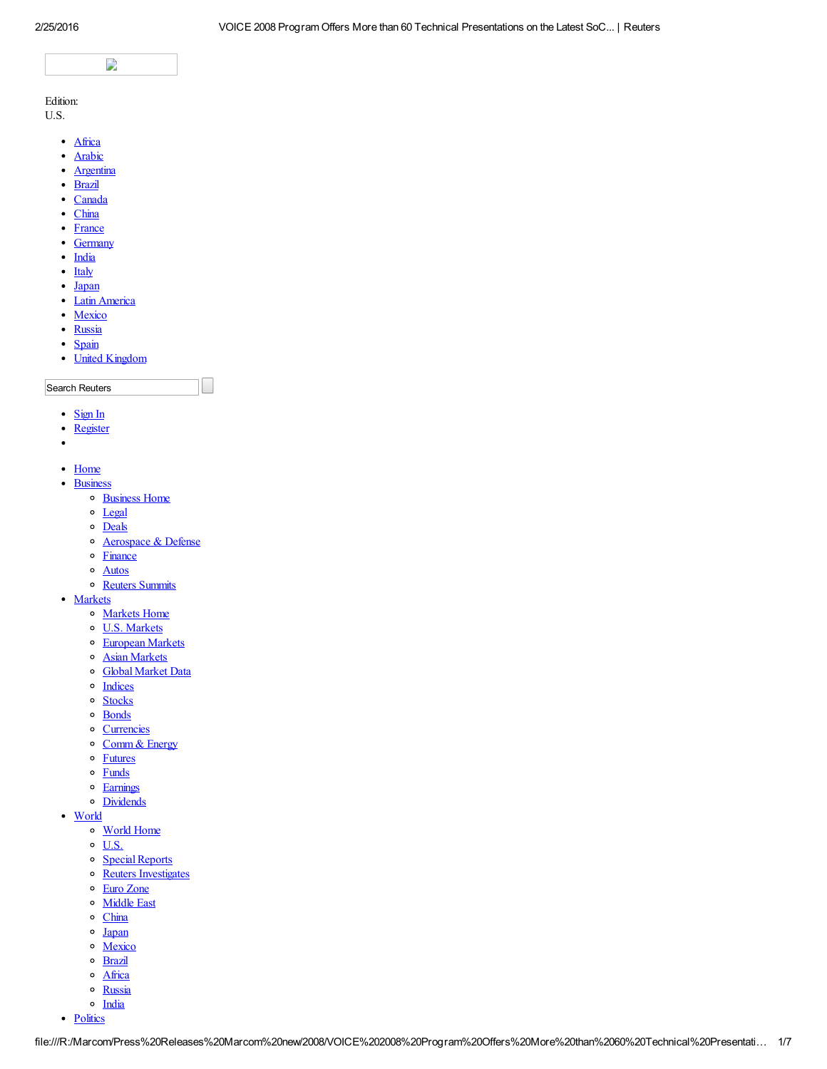

Edition:

U.S.

- · [Africa](http://af.reuters.com/)
- [Arabic](http://ara.reuters.com/)  $\bullet$
- $\bullet$ [Argentina](http://ar.reuters.com/)
- [Brazil](http://br.reuters.com/)
- [Canada](http://ca.reuters.com/)
- [China](http://cn.reuters.com/)
- [France](http://fr.reuters.com/)
- [Germany](http://de.reuters.com/)
- [India](http://in.reuters.com/)
- $\bullet$  [Italy](http://it.reuters.com/)
- [Japan](http://jp.reuters.com/)
- Latin [America](http://lta.reuters.com/)
- [Mexico](http://mx.reuters.com/)
- [Russia](http://ru.reuters.com/)
- [Spain](http://es.reuters.com/)
- United [Kingdom](http://uk.reuters.com/)

Search Reuters

- [Sign](https://commerce.us.reuters.com/login/pages/login/portfolioLogin.do?go=http%3A%2F%2Fwww.reuters.com%2Farticle%2FidUS156284%2B09-Jul-2008%2BBW20080709) In
- [Register](https://commerce.us.reuters.com/registration/pages/registration/begin.do?go=http%3A%2F%2Fwww.reuters.com%2Farticle%2FidUS156284%2B09-Jul-2008%2BBW20080709)
- $\bullet$
- [Home](http://www.reuters.com/home)
- [Business](http://www.reuters.com/finance)
	- [Business](http://www.reuters.com/finance) Home
	- o [Legal](http://www.reuters.com/legal)
	- o [Deals](http://www.reuters.com/finance/deals)
	- o **[Aerospace](http://www.reuters.com/subjects/aerospace-and-defense) & Defense**
	- o [Finance](http://www.reuters.com/subjects/banks)
	- [Autos](http://www.reuters.com/subjects/autos)
	- o Reuters [Summits](http://www.reuters.com/finance/summits)
- [Markets](http://www.reuters.com/finance/markets)
	- [Markets](http://www.reuters.com/finance/markets) Home
	- o U.S. [Markets](http://www.reuters.com/finance/markets/us)
	- o **[European](http://www.reuters.com/finance/markets/europe) Markets**
	- Asian [Markets](http://www.reuters.com/finance/markets/asia)
	- o Global [Market](http://www.reuters.com/finance/global-market-data) Data
	- o [Indices](http://www.reuters.com/finance/markets/indices)
	- <sup>o</sup> [Stocks](http://www.reuters.com/finance/stocks)
	- [Bonds](http://www.reuters.com/finance/bonds)
	- o [Currencies](http://www.reuters.com/finance/currencies)
	- o [Comm](http://www.reuters.com/finance/commodities) & Energy
	- o **[Futures](http://www.reuters.com/finance/futures)**
	- [Funds](http://www.reuters.com/finance/funds)
	- o [Earnings](http://www.reuters.com/finance/EarningsUS)
	- [Dividends](http://www.reuters.com/finance/markets/dividends)
- [World](http://www.reuters.com/news/world)
	- [World](http://www.reuters.com/news/world) Home
		- $\circ$  [U.S.](http://www.reuters.com/news/us)
		- o Special Reports
		- o Reuters [Investigates](http://www.reuters.com/investigates)
	- Euro [Zone](http://www.reuters.com/subjects/euro-zone)
	- o [Middle](http://www.reuters.com/subjects/middle-east) East
	- o [China](http://www.reuters.com/places/china)
	- o [Japan](http://www.reuters.com/places/japan)
	- o [Mexico](http://www.reuters.com/places/mexico)
	- o **[Brazil](http://www.reuters.com/places/brazil)**
	- o [Africa](http://www.reuters.com/places/africa)
	- o [Russia](http://www.reuters.com/places/russia)
	- o [India](http://www.reuters.com/places/india)
- [Politics](http://www.reuters.com/politics)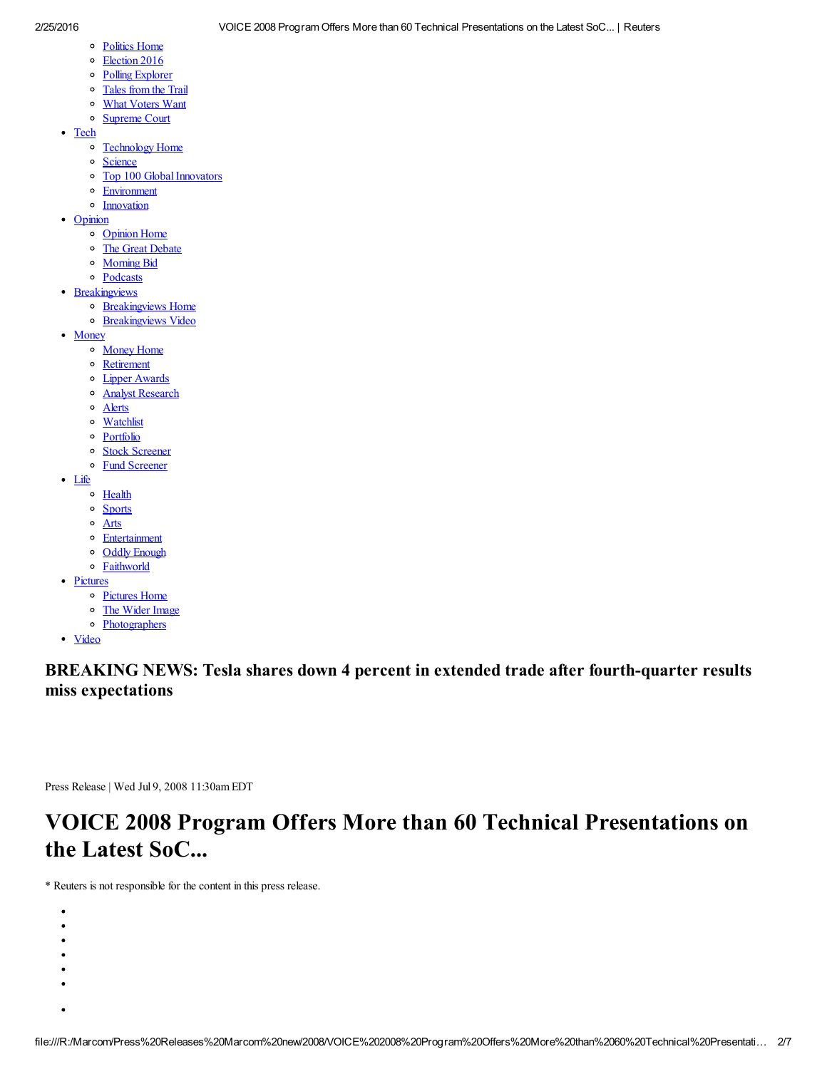- [Politics](http://www.reuters.com/politics) Home
- o [Election](http://www.reuters.com/politics/election2016) 2016
- Polling [Explorer](http://polling.reuters.com/)
- 
- [Tales](http://blogs.reuters.com/talesfromthetrail) from the Trail
- What [Voters](http://www.reuters.com/election2016/the-undecided) Want [Supreme](http://www.reuters.com/subjects/supreme-court) Court
- [Tech](http://www.reuters.com/news/technology)
	- [Technology](http://www.reuters.com/news/technology) Home
	- o [Science](http://www.reuters.com/news/science)
	- o Top 100 Global Innovators
	- [Environment](http://www.reuters.com/news/environment)
	- **o** [Innovation](http://www.reuters.com/innovation)
- [Opinion](http://blogs.reuters.com/us/)
	- o [Opinion](http://blogs.reuters.com/us/) Home
	- o The Great [Debate](http://blogs.reuters.com/great-debate)
	- o [Morning](http://blogs.reuters.com/morning-bid) Bid
	- [Podcasts](http://www.reuters.com/tools/podcasts/)
- [Breakingviews](http://blogs.reuters.com/breakingviews/)
	- o [Breakingviews](http://blogs.reuters.com/breakingviews/) Home
	- [Breakingviews](http://www.reuters.com/video/breakingviews) Video
- [Money](http://www.reuters.com/finance/personal-finance)
	- [Money](http://www.reuters.com/finance/personal-finance) Home
		- o [Retirement](http://www.reuters.com/finance/personal-finance/retirement)
	- Lipper [Awards](http://www.reuters.com/subjects/us-lipper-awards)
	- Analyst [Research](https://commerce.us.reuters.com/purchase/default.do)
	- o [Alerts](http://alerts.us.reuters.com/US/company.asp)
	- o [Watchlist](http://portfolio.us.reuters.com/US/watchlist/create.asp)
	- [Portfolio](http://portfolio.us.reuters.com/US/public/index.asp)
	- o Stock [Screener](http://stockscreener.us.reuters.com/Stock/US/Index?quickscreen=gaarp)
	- Fund [Screener](http://funds.us.reuters.com/US/screener/screener.asp)
- [Life](http://www.reuters.com/news/lifestyle)
	- o [Health](http://www.reuters.com/news/health)
	- <sup>o</sup> [Sports](http://www.reuters.com/news/sports)
	- [Arts](http://www.reuters.com/news/entertainment/arts)
	- [Entertainment](http://www.reuters.com/news/entertainment)
	- o Oddly [Enough](http://www.reuters.com/news/oddlyEnough)
	- [Faithworld](http://blogs.reuters.com/faithworld)
- [Pictures](http://www.reuters.com/news/pictures)
	- [Pictures](http://www.reuters.com/news/pictures) Home
	- The [Wider](http://widerimage.reuters.com/) Image
	- [Photographers](http://widerimage.reuters.com/photographer)
- [Video](http://www.reuters.com/video)

BREAKING NEWS: Tesla shares down 4 percent in extended trade after fourth-quarter results miss expectations

Press Release | Wed Jul 9, 2008 11:30am EDT

## VOICE 2008 Program Offers More than 60 Technical Presentations on the Latest SoC...

\* Reuters is not responsible for the content in this press release.

- $\bullet$  $\bullet$
- $\bullet$
- $\bullet$
- $\bullet$
- $\bullet$
-